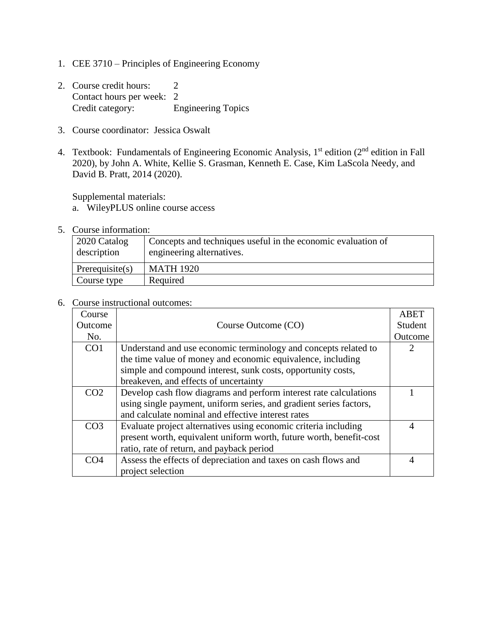- 1. CEE 3710 Principles of Engineering Economy
- 2. Course credit hours: 2 Contact hours per week: 2 Credit category: Engineering Topics
- 3. Course coordinator: Jessica Oswalt
- 4. Textbook: Fundamentals of Engineering Economic Analysis, 1<sup>st</sup> edition (2<sup>nd</sup> edition in Fall 2020), by John A. White, Kellie S. Grasman, Kenneth E. Case, Kim LaScola Needy, and David B. Pratt, 2014 (2020).

Supplemental materials:

- a. WileyPLUS online course access
- 5. Course information:

| 2020 Catalog<br>description | Concepts and techniques useful in the economic evaluation of<br>engineering alternatives. |
|-----------------------------|-------------------------------------------------------------------------------------------|
| Prerequisite $(s)$          | <b>MATH 1920</b>                                                                          |
| Course type                 | Required                                                                                  |

6. Course instructional outcomes:

| Course          |                                                                     | <b>ABET</b>    |  |
|-----------------|---------------------------------------------------------------------|----------------|--|
| Outcome         | Course Outcome (CO)                                                 | Student        |  |
| No.             |                                                                     | Outcome        |  |
| CO <sub>1</sub> | Understand and use economic terminology and concepts related to     |                |  |
|                 | the time value of money and economic equivalence, including         |                |  |
|                 | simple and compound interest, sunk costs, opportunity costs,        |                |  |
|                 | breakeven, and effects of uncertainty                               |                |  |
| CO <sub>2</sub> | Develop cash flow diagrams and perform interest rate calculations   |                |  |
|                 | using single payment, uniform series, and gradient series factors,  |                |  |
|                 | and calculate nominal and effective interest rates                  |                |  |
| CO <sub>3</sub> | Evaluate project alternatives using economic criteria including     | $\overline{A}$ |  |
|                 | present worth, equivalent uniform worth, future worth, benefit-cost |                |  |
|                 | ratio, rate of return, and payback period                           |                |  |
| CO <sub>4</sub> | Assess the effects of depreciation and taxes on cash flows and      | 4              |  |
|                 | project selection                                                   |                |  |